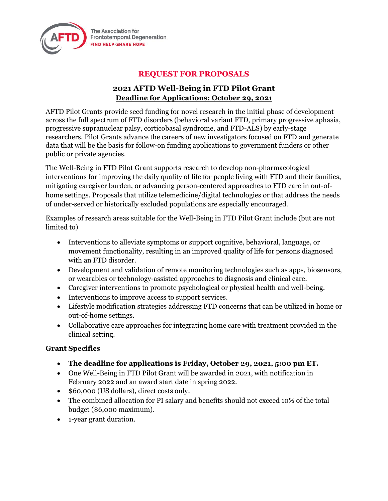

The Association for **Frontotemporal Degeneration FIND HELP-SHARE HOPE** 

# **REQUEST FOR PROPOSALS**

## **2021 AFTD Well-Being in FTD Pilot Grant Deadline for Applications: October 29, 2021**

AFTD Pilot Grants provide seed funding for novel research in the initial phase of development across the full spectrum of FTD disorders (behavioral variant FTD, primary progressive aphasia, progressive supranuclear palsy, corticobasal syndrome, and FTD-ALS) by early-stage researchers. Pilot Grants advance the careers of new investigators focused on FTD and generate data that will be the basis for follow-on funding applications to government funders or other public or private agencies.

The Well-Being in FTD Pilot Grant supports research to develop non-pharmacological interventions for improving the daily quality of life for people living with FTD and their families, mitigating caregiver burden, or advancing person-centered approaches to FTD care in out-ofhome settings. Proposals that utilize telemedicine/digital technologies or that address the needs of under-served or historically excluded populations are especially encouraged.

Examples of research areas suitable for the Well-Being in FTD Pilot Grant include (but are not limited to)

- Interventions to alleviate symptoms or support cognitive, behavioral, language, or movement functionality, resulting in an improved quality of life for persons diagnosed with an FTD disorder.
- Development and validation of remote monitoring technologies such as apps, biosensors, or wearables or technology-assisted approaches to diagnosis and clinical care.
- Caregiver interventions to promote psychological or physical health and well-being.
- Interventions to improve access to support services.
- Lifestyle modification strategies addressing FTD concerns that can be utilized in home or out-of-home settings.
- Collaborative care approaches for integrating home care with treatment provided in the clinical setting.

## **Grant Specifics**

- **The deadline for applications is Friday, October 29, 2021, 5:00 pm ET.**
- One Well-Being in FTD Pilot Grant will be awarded in 2021, with notification in February 2022 and an award start date in spring 2022.
- \$60,000 (US dollars), direct costs only.
- The combined allocation for PI salary and benefits should not exceed 10% of the total budget (\$6,000 maximum).
- 1-year grant duration.